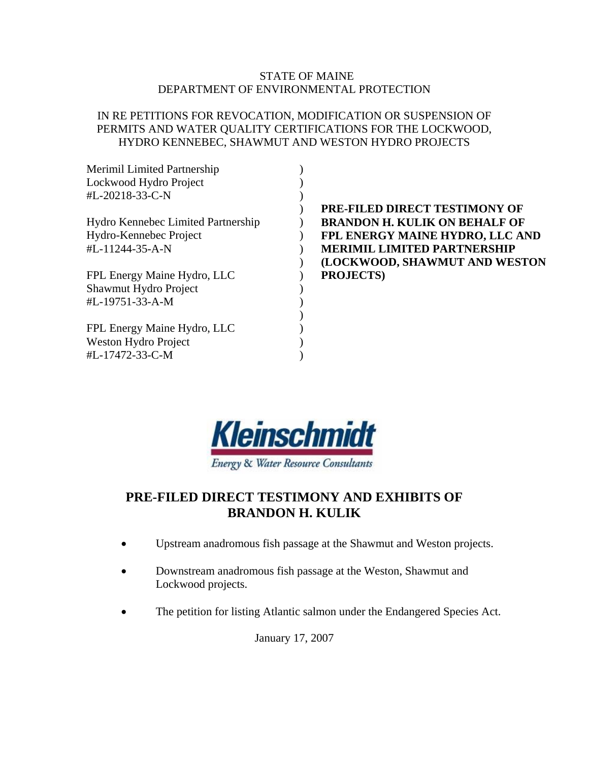# STATE OF MAINE DEPARTMENT OF ENVIRONMENTAL PROTECTION

# IN RE PETITIONS FOR REVOCATION, MODIFICATION OR SUSPENSION OF PERMITS AND WATER QUALITY CERTIFICATIONS FOR THE LOCKWOOD, HYDRO KENNEBEC, SHAWMUT AND WESTON HYDRO PROJECTS

| Merimil Limited Partnership        |                                      |
|------------------------------------|--------------------------------------|
| Lockwood Hydro Project             |                                      |
| #L-20218-33-C-N                    |                                      |
|                                    | <b>PRE-FILED DIRECT TESTIMONY OF</b> |
| Hydro Kennebec Limited Partnership | <b>BRANDON H. KULIK ON BEHALF OF</b> |
| Hydro-Kennebec Project             | FPL ENERGY MAINE HYDRO, LLC AND      |
| #L-11244-35-A-N                    | <b>MERIMIL LIMITED PARTNERSHIP</b>   |
|                                    | (LOCKWOOD, SHAWMUT AND WESTON        |
| FPL Energy Maine Hydro, LLC        | <b>PROJECTS</b> )                    |
| Shawmut Hydro Project              |                                      |
| #L-19751-33-A-M                    |                                      |
|                                    |                                      |
| FPL Energy Maine Hydro, LLC        |                                      |
| Weston Hydro Project               |                                      |
| #L-17472-33-C-M                    |                                      |



# **PRE-FILED DIRECT TESTIMONY AND EXHIBITS OF BRANDON H. KULIK**

- Upstream anadromous fish passage at the Shawmut and Weston projects.
- Downstream anadromous fish passage at the Weston, Shawmut and Lockwood projects.
- The petition for listing Atlantic salmon under the Endangered Species Act.

January 17, 2007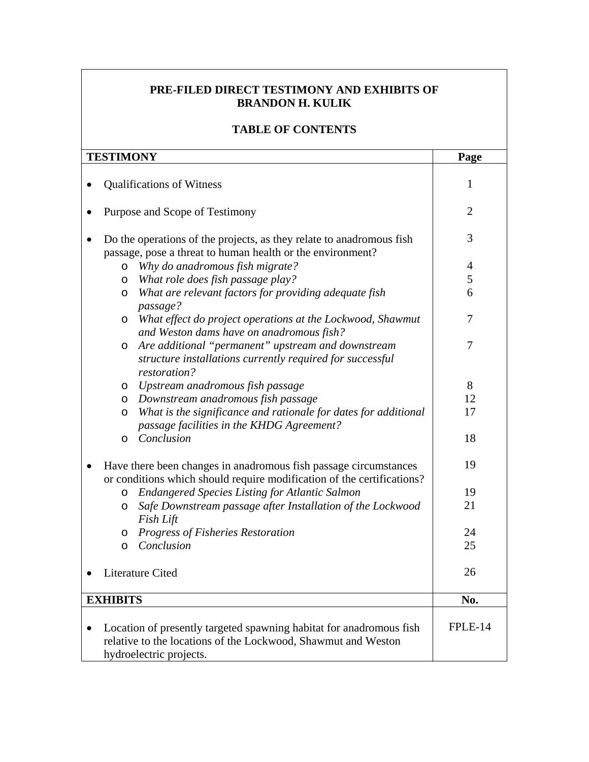# **PRE-FILED DIRECT TESTIMONY AND EXHIBITS OF BRANDON H. KULIK**

# **TABLE OF CONTENTS**

| <b>TESTIMONY</b>                                                       |                                                                                                                   | Page           |  |
|------------------------------------------------------------------------|-------------------------------------------------------------------------------------------------------------------|----------------|--|
|                                                                        |                                                                                                                   |                |  |
|                                                                        | <b>Qualifications of Witness</b>                                                                                  | 1              |  |
|                                                                        |                                                                                                                   |                |  |
|                                                                        | Purpose and Scope of Testimony                                                                                    | $\overline{2}$ |  |
|                                                                        |                                                                                                                   |                |  |
|                                                                        | Do the operations of the projects, as they relate to anadromous fish                                              | 3              |  |
|                                                                        | passage, pose a threat to human health or the environment?                                                        |                |  |
|                                                                        | Why do anadromous fish migrate?<br>O                                                                              | $\overline{4}$ |  |
|                                                                        | What role does fish passage play?<br>O                                                                            | 5<br>6         |  |
|                                                                        | What are relevant factors for providing adequate fish<br>O                                                        |                |  |
|                                                                        | passage?                                                                                                          | 7              |  |
|                                                                        | What effect do project operations at the Lockwood, Shawmut<br>$\circ$<br>and Weston dams have on anadromous fish? |                |  |
|                                                                        | Are additional "permanent" upstream and downstream                                                                | 7              |  |
|                                                                        | O<br>structure installations currently required for successful                                                    |                |  |
|                                                                        | restoration?                                                                                                      |                |  |
|                                                                        | Upstream anadromous fish passage<br>$\circ$                                                                       | 8              |  |
|                                                                        | Downstream anadromous fish passage<br>$\circ$                                                                     | 12             |  |
|                                                                        | What is the significance and rationale for dates for additional<br>O                                              | 17             |  |
|                                                                        | passage facilities in the KHDG Agreement?                                                                         |                |  |
|                                                                        | Conclusion<br>O                                                                                                   | 18             |  |
|                                                                        |                                                                                                                   |                |  |
|                                                                        | Have there been changes in anadromous fish passage circumstances                                                  |                |  |
| or conditions which should require modification of the certifications? |                                                                                                                   |                |  |
|                                                                        | <b>Endangered Species Listing for Atlantic Salmon</b><br>O                                                        | 19             |  |
|                                                                        | Safe Downstream passage after Installation of the Lockwood<br>$\circ$                                             | 21             |  |
|                                                                        | Fish Lift                                                                                                         |                |  |
|                                                                        | Progress of Fisheries Restoration<br>$\circ$                                                                      | 24             |  |
|                                                                        | Conclusion<br>$\circ$                                                                                             | 25             |  |
|                                                                        |                                                                                                                   |                |  |
| Literature Cited                                                       |                                                                                                                   | 26             |  |
| <b>EXHIBITS</b>                                                        |                                                                                                                   | No.            |  |
|                                                                        |                                                                                                                   |                |  |
|                                                                        | Location of presently targeted spawning habitat for anadromous fish                                               | FPLE-14        |  |
|                                                                        |                                                                                                                   |                |  |
|                                                                        | hydroelectric projects.                                                                                           |                |  |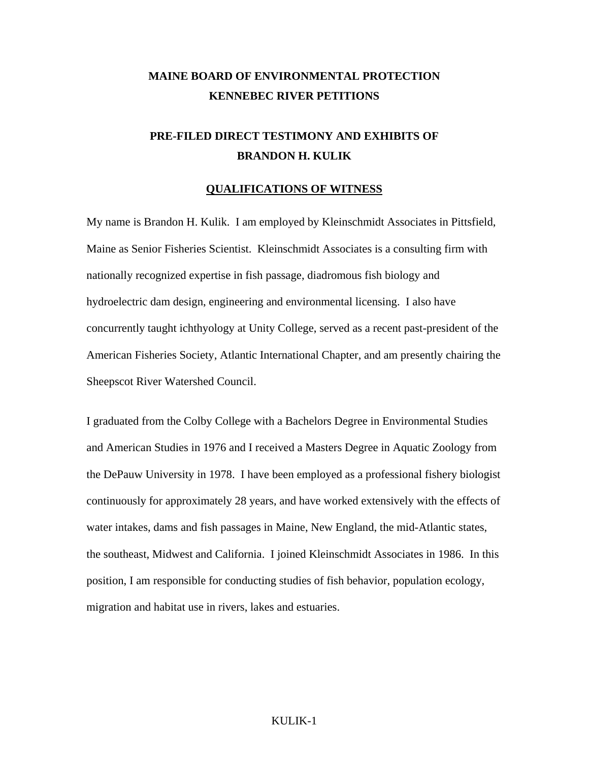# **MAINE BOARD OF ENVIRONMENTAL PROTECTION KENNEBEC RIVER PETITIONS**

# **PRE-FILED DIRECT TESTIMONY AND EXHIBITS OF BRANDON H. KULIK**

#### **QUALIFICATIONS OF WITNESS**

My name is Brandon H. Kulik. I am employed by Kleinschmidt Associates in Pittsfield, Maine as Senior Fisheries Scientist. Kleinschmidt Associates is a consulting firm with nationally recognized expertise in fish passage, diadromous fish biology and hydroelectric dam design, engineering and environmental licensing. I also have concurrently taught ichthyology at Unity College, served as a recent past-president of the American Fisheries Society, Atlantic International Chapter, and am presently chairing the Sheepscot River Watershed Council.

I graduated from the Colby College with a Bachelors Degree in Environmental Studies and American Studies in 1976 and I received a Masters Degree in Aquatic Zoology from the DePauw University in 1978. I have been employed as a professional fishery biologist continuously for approximately 28 years, and have worked extensively with the effects of water intakes, dams and fish passages in Maine, New England, the mid-Atlantic states, the southeast, Midwest and California. I joined Kleinschmidt Associates in 1986. In this position, I am responsible for conducting studies of fish behavior, population ecology, migration and habitat use in rivers, lakes and estuaries.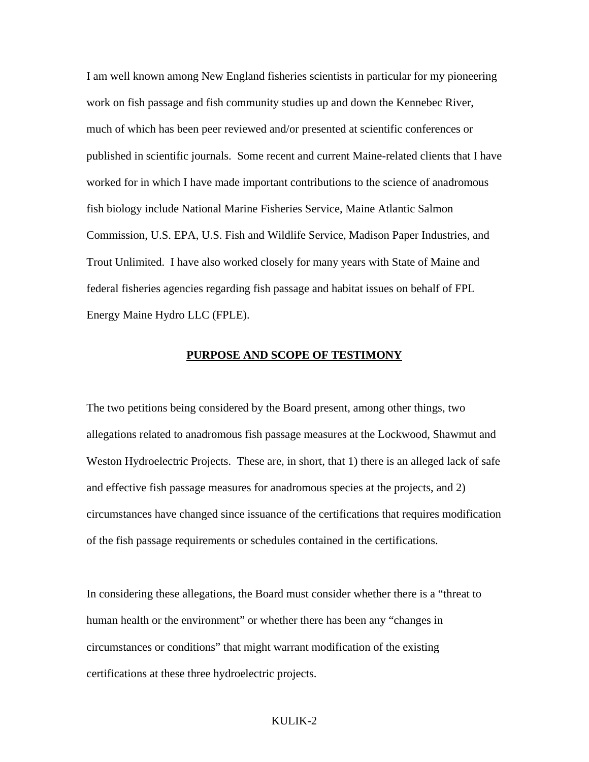I am well known among New England fisheries scientists in particular for my pioneering work on fish passage and fish community studies up and down the Kennebec River, much of which has been peer reviewed and/or presented at scientific conferences or published in scientific journals. Some recent and current Maine-related clients that I have worked for in which I have made important contributions to the science of anadromous fish biology include National Marine Fisheries Service, Maine Atlantic Salmon Commission, U.S. EPA, U.S. Fish and Wildlife Service, Madison Paper Industries, and Trout Unlimited. I have also worked closely for many years with State of Maine and federal fisheries agencies regarding fish passage and habitat issues on behalf of FPL Energy Maine Hydro LLC (FPLE).

#### **PURPOSE AND SCOPE OF TESTIMONY**

The two petitions being considered by the Board present, among other things, two allegations related to anadromous fish passage measures at the Lockwood, Shawmut and Weston Hydroelectric Projects. These are, in short, that 1) there is an alleged lack of safe and effective fish passage measures for anadromous species at the projects, and 2) circumstances have changed since issuance of the certifications that requires modification of the fish passage requirements or schedules contained in the certifications.

In considering these allegations, the Board must consider whether there is a "threat to human health or the environment" or whether there has been any "changes in circumstances or conditions" that might warrant modification of the existing certifications at these three hydroelectric projects.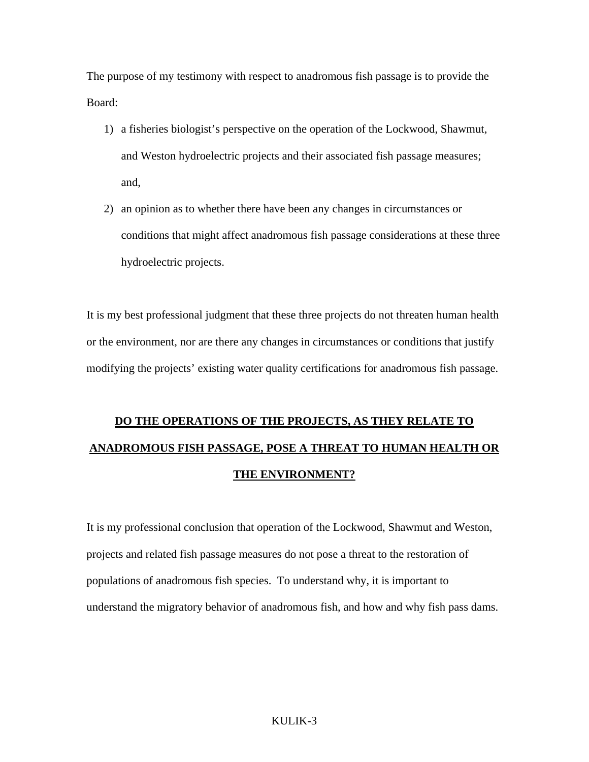The purpose of my testimony with respect to anadromous fish passage is to provide the Board:

- 1) a fisheries biologist's perspective on the operation of the Lockwood, Shawmut, and Weston hydroelectric projects and their associated fish passage measures; and,
- 2) an opinion as to whether there have been any changes in circumstances or conditions that might affect anadromous fish passage considerations at these three hydroelectric projects.

It is my best professional judgment that these three projects do not threaten human health or the environment, nor are there any changes in circumstances or conditions that justify modifying the projects' existing water quality certifications for anadromous fish passage.

# **DO THE OPERATIONS OF THE PROJECTS, AS THEY RELATE TO ANADROMOUS FISH PASSAGE, POSE A THREAT TO HUMAN HEALTH OR THE ENVIRONMENT?**

It is my professional conclusion that operation of the Lockwood, Shawmut and Weston, projects and related fish passage measures do not pose a threat to the restoration of populations of anadromous fish species. To understand why, it is important to understand the migratory behavior of anadromous fish, and how and why fish pass dams.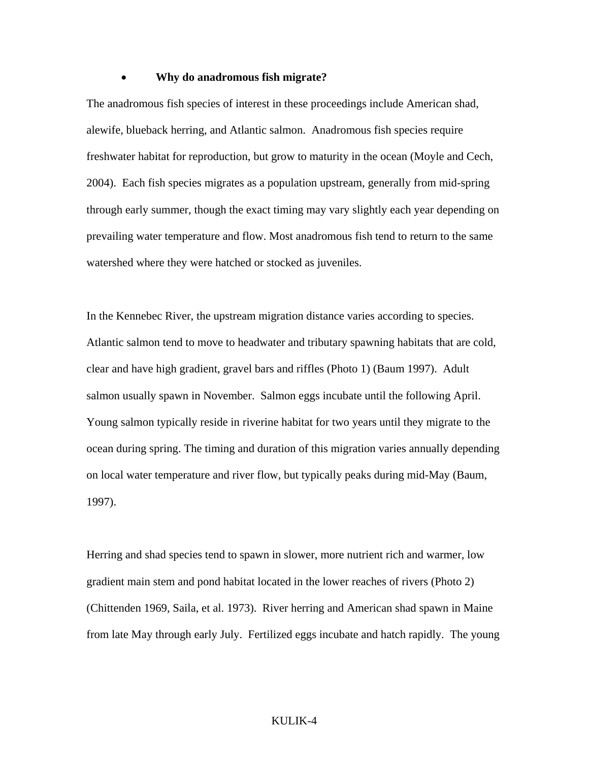#### • **Why do anadromous fish migrate?**

The anadromous fish species of interest in these proceedings include American shad, alewife, blueback herring, and Atlantic salmon. Anadromous fish species require freshwater habitat for reproduction, but grow to maturity in the ocean (Moyle and Cech, 2004). Each fish species migrates as a population upstream, generally from mid-spring through early summer, though the exact timing may vary slightly each year depending on prevailing water temperature and flow. Most anadromous fish tend to return to the same watershed where they were hatched or stocked as juveniles.

In the Kennebec River, the upstream migration distance varies according to species. Atlantic salmon tend to move to headwater and tributary spawning habitats that are cold, clear and have high gradient, gravel bars and riffles (Photo 1) (Baum 1997). Adult salmon usually spawn in November. Salmon eggs incubate until the following April. Young salmon typically reside in riverine habitat for two years until they migrate to the ocean during spring. The timing and duration of this migration varies annually depending on local water temperature and river flow, but typically peaks during mid-May (Baum, 1997).

Herring and shad species tend to spawn in slower, more nutrient rich and warmer, low gradient main stem and pond habitat located in the lower reaches of rivers (Photo 2) (Chittenden 1969, Saila, et al. 1973). River herring and American shad spawn in Maine from late May through early July. Fertilized eggs incubate and hatch rapidly. The young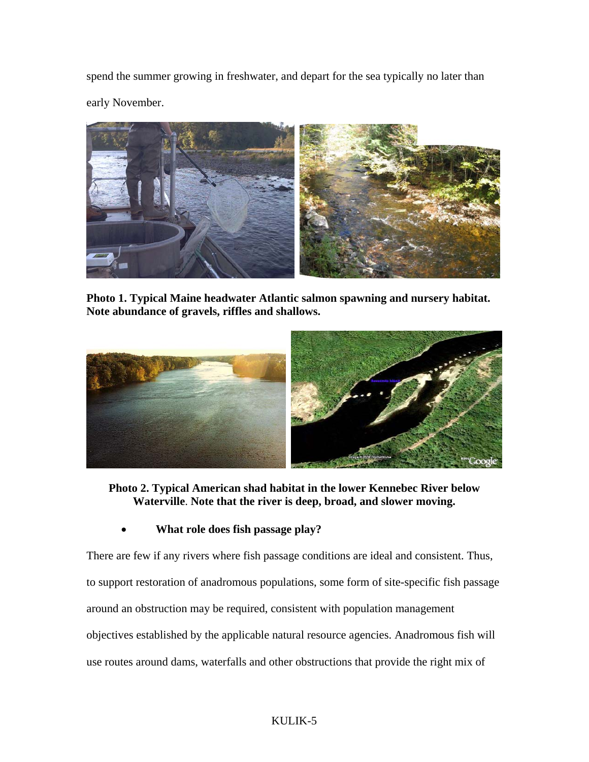spend the summer growing in freshwater, and depart for the sea typically no later than early November.



**Photo 1. Typical Maine headwater Atlantic salmon spawning and nursery habitat. Note abundance of gravels, riffles and shallows.** 



**Photo 2. Typical American shad habitat in the lower Kennebec River below Waterville**. **Note that the river is deep, broad, and slower moving.** 

• **What role does fish passage play?** 

There are few if any rivers where fish passage conditions are ideal and consistent. Thus, to support restoration of anadromous populations, some form of site-specific fish passage around an obstruction may be required, consistent with population management objectives established by the applicable natural resource agencies. Anadromous fish will use routes around dams, waterfalls and other obstructions that provide the right mix of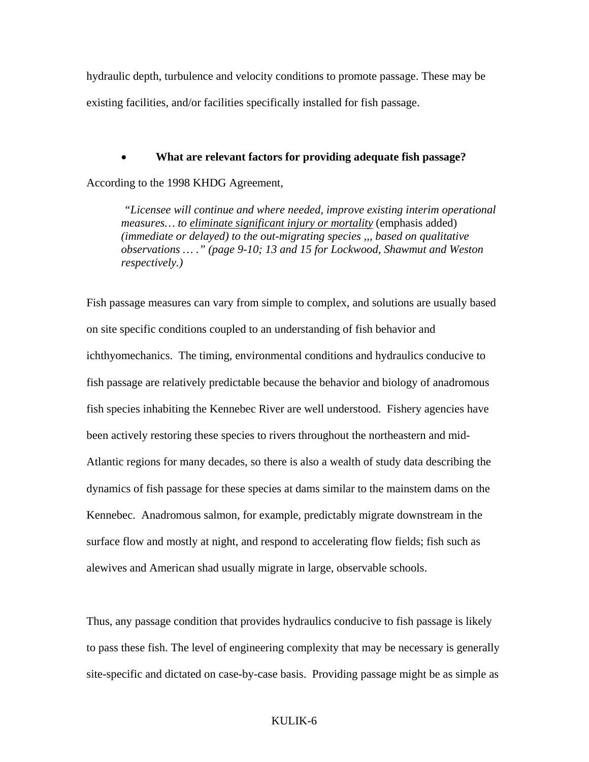hydraulic depth, turbulence and velocity conditions to promote passage. These may be existing facilities, and/or facilities specifically installed for fish passage.

• **What are relevant factors for providing adequate fish passage?** 

According to the 1998 KHDG Agreement,

 *"Licensee will continue and where needed, improve existing interim operational measures… to eliminate significant injury or mortality* (emphasis added) *(immediate or delayed) to the out-migrating species ,,, based on qualitative observations … ." (page 9-10; 13 and 15 for Lockwood, Shawmut and Weston respectively.)* 

Fish passage measures can vary from simple to complex, and solutions are usually based on site specific conditions coupled to an understanding of fish behavior and ichthyomechanics. The timing, environmental conditions and hydraulics conducive to fish passage are relatively predictable because the behavior and biology of anadromous fish species inhabiting the Kennebec River are well understood. Fishery agencies have been actively restoring these species to rivers throughout the northeastern and mid-Atlantic regions for many decades, so there is also a wealth of study data describing the dynamics of fish passage for these species at dams similar to the mainstem dams on the Kennebec. Anadromous salmon, for example, predictably migrate downstream in the surface flow and mostly at night, and respond to accelerating flow fields; fish such as alewives and American shad usually migrate in large, observable schools.

Thus, any passage condition that provides hydraulics conducive to fish passage is likely to pass these fish. The level of engineering complexity that may be necessary is generally site-specific and dictated on case-by-case basis. Providing passage might be as simple as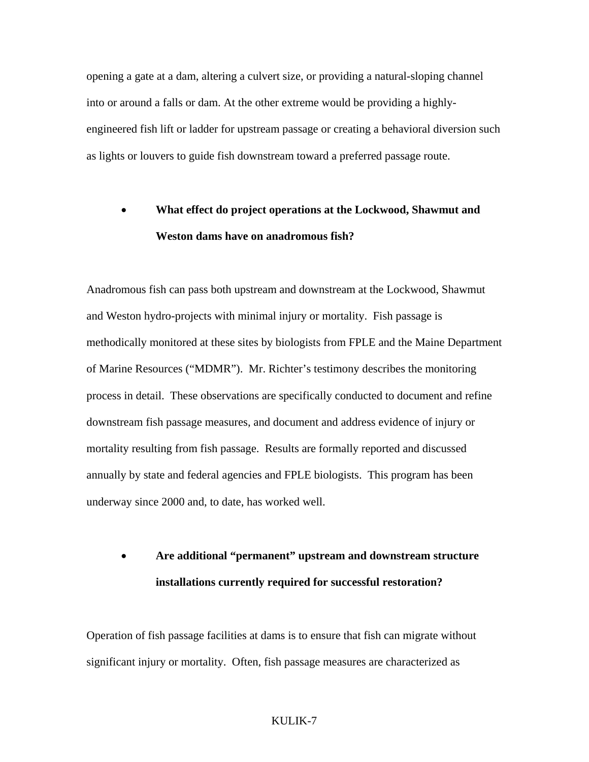opening a gate at a dam, altering a culvert size, or providing a natural-sloping channel into or around a falls or dam. At the other extreme would be providing a highlyengineered fish lift or ladder for upstream passage or creating a behavioral diversion such as lights or louvers to guide fish downstream toward a preferred passage route.

# • **What effect do project operations at the Lockwood, Shawmut and Weston dams have on anadromous fish?**

Anadromous fish can pass both upstream and downstream at the Lockwood, Shawmut and Weston hydro-projects with minimal injury or mortality. Fish passage is methodically monitored at these sites by biologists from FPLE and the Maine Department of Marine Resources ("MDMR"). Mr. Richter's testimony describes the monitoring process in detail. These observations are specifically conducted to document and refine downstream fish passage measures, and document and address evidence of injury or mortality resulting from fish passage. Results are formally reported and discussed annually by state and federal agencies and FPLE biologists. This program has been underway since 2000 and, to date, has worked well.

# • **Are additional "permanent" upstream and downstream structure installations currently required for successful restoration?**

Operation of fish passage facilities at dams is to ensure that fish can migrate without significant injury or mortality. Often, fish passage measures are characterized as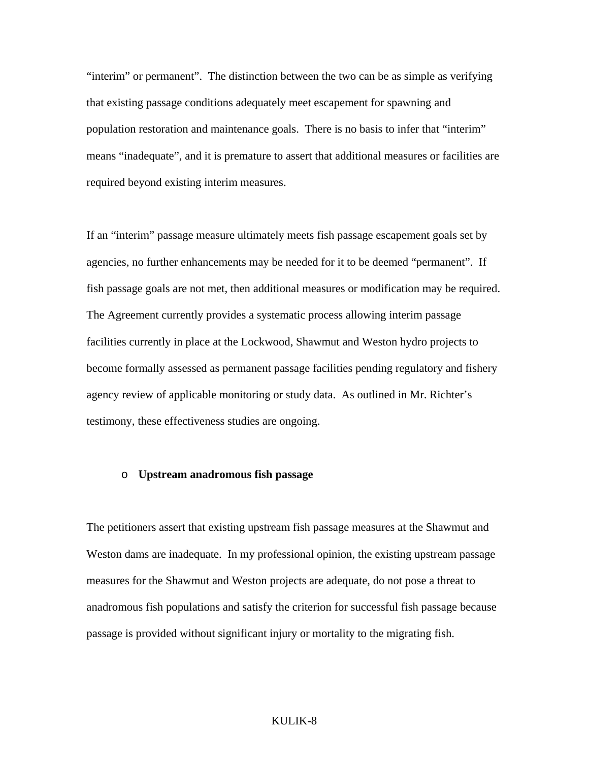"interim" or permanent". The distinction between the two can be as simple as verifying that existing passage conditions adequately meet escapement for spawning and population restoration and maintenance goals. There is no basis to infer that "interim" means "inadequate", and it is premature to assert that additional measures or facilities are required beyond existing interim measures.

If an "interim" passage measure ultimately meets fish passage escapement goals set by agencies, no further enhancements may be needed for it to be deemed "permanent". If fish passage goals are not met, then additional measures or modification may be required. The Agreement currently provides a systematic process allowing interim passage facilities currently in place at the Lockwood, Shawmut and Weston hydro projects to become formally assessed as permanent passage facilities pending regulatory and fishery agency review of applicable monitoring or study data. As outlined in Mr. Richter's testimony, these effectiveness studies are ongoing.

#### o **Upstream anadromous fish passage**

The petitioners assert that existing upstream fish passage measures at the Shawmut and Weston dams are inadequate. In my professional opinion, the existing upstream passage measures for the Shawmut and Weston projects are adequate, do not pose a threat to anadromous fish populations and satisfy the criterion for successful fish passage because passage is provided without significant injury or mortality to the migrating fish.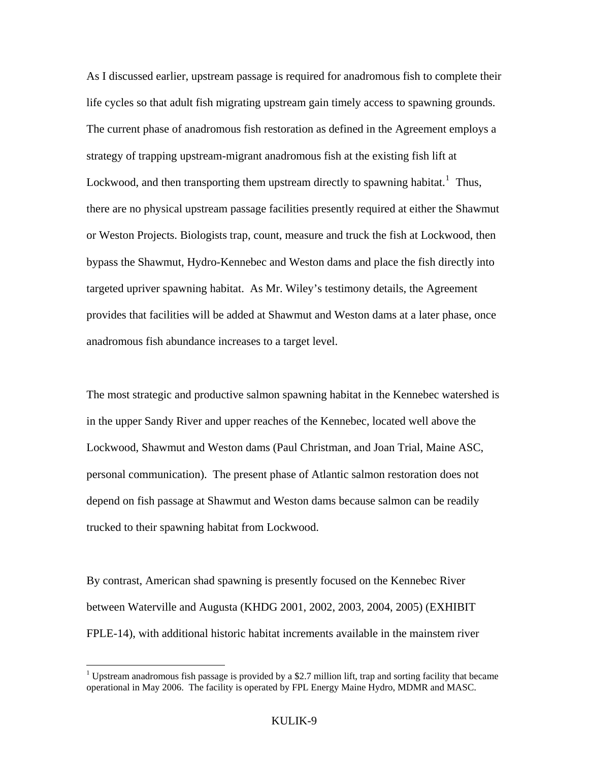As I discussed earlier, upstream passage is required for anadromous fish to complete their life cycles so that adult fish migrating upstream gain timely access to spawning grounds. The current phase of anadromous fish restoration as defined in the Agreement employs a strategy of trapping upstream-migrant anadromous fish at the existing fish lift at Lockwood, and then transporting them upstream directly to spawning habitat.<sup>[1](#page-10-0)</sup> Thus, there are no physical upstream passage facilities presently required at either the Shawmut or Weston Projects. Biologists trap, count, measure and truck the fish at Lockwood, then bypass the Shawmut, Hydro-Kennebec and Weston dams and place the fish directly into targeted upriver spawning habitat. As Mr. Wiley's testimony details, the Agreement provides that facilities will be added at Shawmut and Weston dams at a later phase, once anadromous fish abundance increases to a target level.

The most strategic and productive salmon spawning habitat in the Kennebec watershed is in the upper Sandy River and upper reaches of the Kennebec, located well above the Lockwood, Shawmut and Weston dams (Paul Christman, and Joan Trial, Maine ASC, personal communication). The present phase of Atlantic salmon restoration does not depend on fish passage at Shawmut and Weston dams because salmon can be readily trucked to their spawning habitat from Lockwood.

By contrast, American shad spawning is presently focused on the Kennebec River between Waterville and Augusta (KHDG 2001, 2002, 2003, 2004, 2005) (EXHIBIT FPLE-14), with additional historic habitat increments available in the mainstem river

 $\overline{a}$ 

<span id="page-10-0"></span><sup>&</sup>lt;sup>1</sup> Upstream anadromous fish passage is provided by a \$2.7 million lift, trap and sorting facility that became operational in May 2006. The facility is operated by FPL Energy Maine Hydro, MDMR and MASC.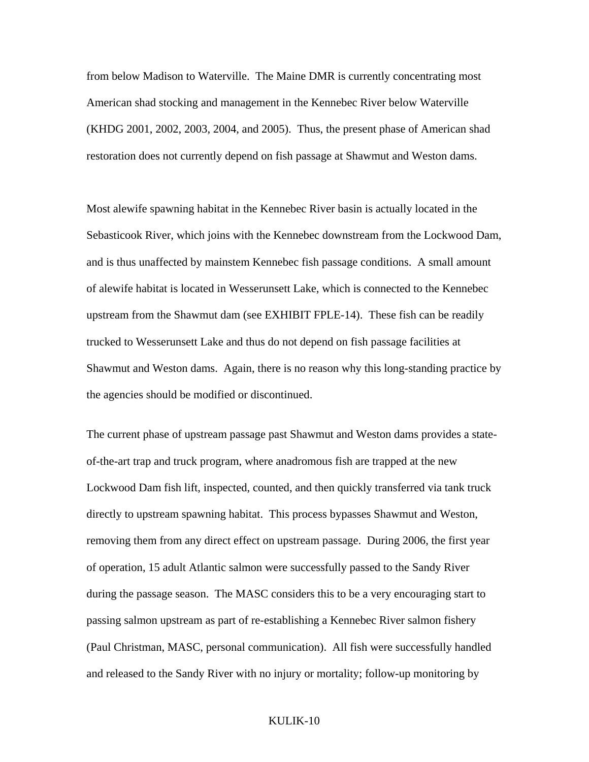from below Madison to Waterville. The Maine DMR is currently concentrating most American shad stocking and management in the Kennebec River below Waterville (KHDG 2001, 2002, 2003, 2004, and 2005). Thus, the present phase of American shad restoration does not currently depend on fish passage at Shawmut and Weston dams.

Most alewife spawning habitat in the Kennebec River basin is actually located in the Sebasticook River, which joins with the Kennebec downstream from the Lockwood Dam, and is thus unaffected by mainstem Kennebec fish passage conditions. A small amount of alewife habitat is located in Wesserunsett Lake, which is connected to the Kennebec upstream from the Shawmut dam (see EXHIBIT FPLE-14). These fish can be readily trucked to Wesserunsett Lake and thus do not depend on fish passage facilities at Shawmut and Weston dams. Again, there is no reason why this long-standing practice by the agencies should be modified or discontinued.

The current phase of upstream passage past Shawmut and Weston dams provides a stateof-the-art trap and truck program, where anadromous fish are trapped at the new Lockwood Dam fish lift, inspected, counted, and then quickly transferred via tank truck directly to upstream spawning habitat. This process bypasses Shawmut and Weston, removing them from any direct effect on upstream passage. During 2006, the first year of operation, 15 adult Atlantic salmon were successfully passed to the Sandy River during the passage season. The MASC considers this to be a very encouraging start to passing salmon upstream as part of re-establishing a Kennebec River salmon fishery (Paul Christman, MASC, personal communication). All fish were successfully handled and released to the Sandy River with no injury or mortality; follow-up monitoring by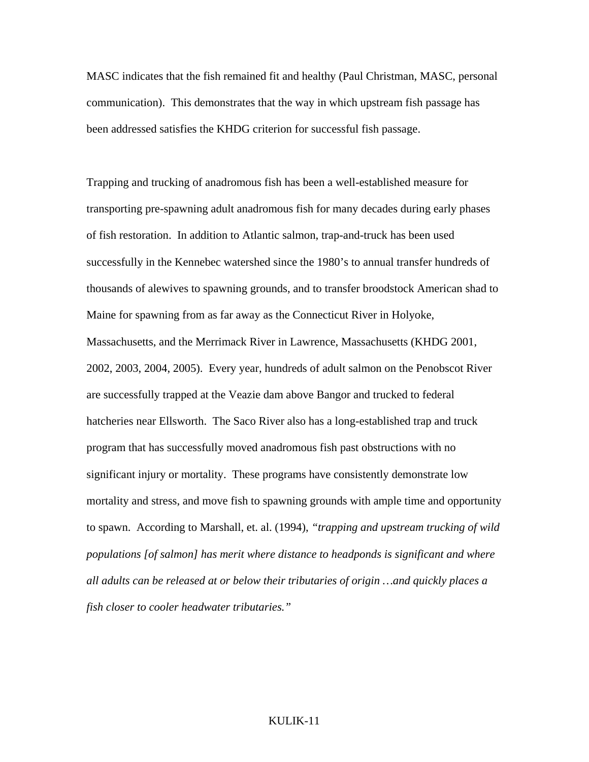MASC indicates that the fish remained fit and healthy (Paul Christman, MASC, personal communication). This demonstrates that the way in which upstream fish passage has been addressed satisfies the KHDG criterion for successful fish passage.

Trapping and trucking of anadromous fish has been a well-established measure for transporting pre-spawning adult anadromous fish for many decades during early phases of fish restoration. In addition to Atlantic salmon, trap-and-truck has been used successfully in the Kennebec watershed since the 1980's to annual transfer hundreds of thousands of alewives to spawning grounds, and to transfer broodstock American shad to Maine for spawning from as far away as the Connecticut River in Holyoke, Massachusetts, and the Merrimack River in Lawrence, Massachusetts (KHDG 2001, 2002, 2003, 2004, 2005). Every year, hundreds of adult salmon on the Penobscot River are successfully trapped at the Veazie dam above Bangor and trucked to federal hatcheries near Ellsworth. The Saco River also has a long-established trap and truck program that has successfully moved anadromous fish past obstructions with no significant injury or mortality. These programs have consistently demonstrate low mortality and stress, and move fish to spawning grounds with ample time and opportunity to spawn. According to Marshall, et. al. (1994), *"trapping and upstream trucking of wild populations [of salmon] has merit where distance to headponds is significant and where all adults can be released at or below their tributaries of origin …and quickly places a fish closer to cooler headwater tributaries."*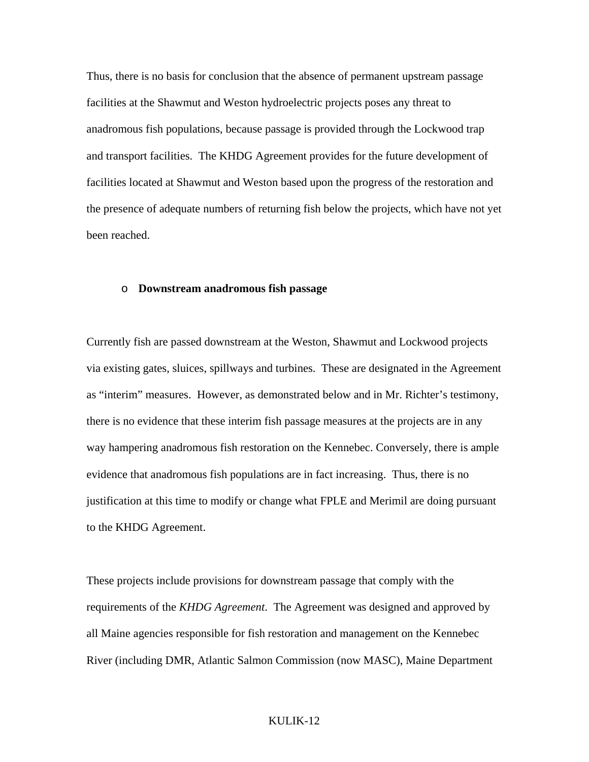Thus, there is no basis for conclusion that the absence of permanent upstream passage facilities at the Shawmut and Weston hydroelectric projects poses any threat to anadromous fish populations, because passage is provided through the Lockwood trap and transport facilities. The KHDG Agreement provides for the future development of facilities located at Shawmut and Weston based upon the progress of the restoration and the presence of adequate numbers of returning fish below the projects, which have not yet been reached.

#### o **Downstream anadromous fish passage**

Currently fish are passed downstream at the Weston, Shawmut and Lockwood projects via existing gates, sluices, spillways and turbines. These are designated in the Agreement as "interim" measures. However, as demonstrated below and in Mr. Richter's testimony, there is no evidence that these interim fish passage measures at the projects are in any way hampering anadromous fish restoration on the Kennebec. Conversely, there is ample evidence that anadromous fish populations are in fact increasing. Thus, there is no justification at this time to modify or change what FPLE and Merimil are doing pursuant to the KHDG Agreement.

These projects include provisions for downstream passage that comply with the requirements of the *KHDG Agreement*. The Agreement was designed and approved by all Maine agencies responsible for fish restoration and management on the Kennebec River (including DMR, Atlantic Salmon Commission (now MASC), Maine Department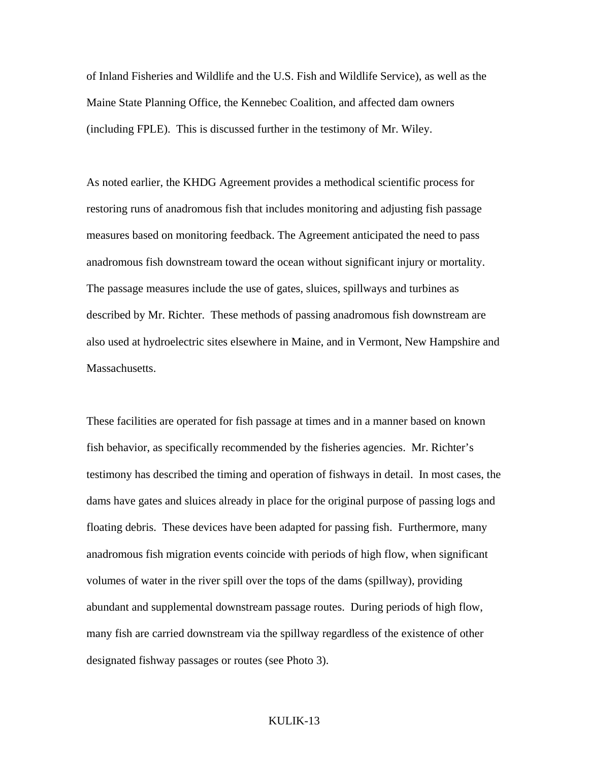of Inland Fisheries and Wildlife and the U.S. Fish and Wildlife Service), as well as the Maine State Planning Office, the Kennebec Coalition, and affected dam owners (including FPLE). This is discussed further in the testimony of Mr. Wiley.

As noted earlier, the KHDG Agreement provides a methodical scientific process for restoring runs of anadromous fish that includes monitoring and adjusting fish passage measures based on monitoring feedback. The Agreement anticipated the need to pass anadromous fish downstream toward the ocean without significant injury or mortality. The passage measures include the use of gates, sluices, spillways and turbines as described by Mr. Richter. These methods of passing anadromous fish downstream are also used at hydroelectric sites elsewhere in Maine, and in Vermont, New Hampshire and Massachusetts.

These facilities are operated for fish passage at times and in a manner based on known fish behavior, as specifically recommended by the fisheries agencies. Mr. Richter's testimony has described the timing and operation of fishways in detail. In most cases, the dams have gates and sluices already in place for the original purpose of passing logs and floating debris. These devices have been adapted for passing fish. Furthermore, many anadromous fish migration events coincide with periods of high flow, when significant volumes of water in the river spill over the tops of the dams (spillway), providing abundant and supplemental downstream passage routes. During periods of high flow, many fish are carried downstream via the spillway regardless of the existence of other designated fishway passages or routes (see Photo 3).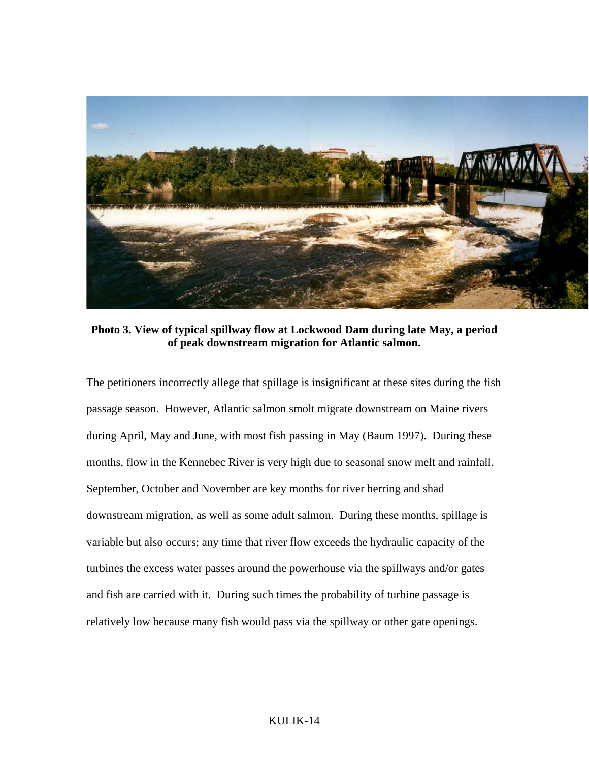

**Photo 3. View of typical spillway flow at Lockwood Dam during late May, a period of peak downstream migration for Atlantic salmon.** 

The petitioners incorrectly allege that spillage is insignificant at these sites during the fish passage season. However, Atlantic salmon smolt migrate downstream on Maine rivers during April, May and June, with most fish passing in May (Baum 1997). During these months, flow in the Kennebec River is very high due to seasonal snow melt and rainfall. September, October and November are key months for river herring and shad downstream migration, as well as some adult salmon. During these months, spillage is variable but also occurs; any time that river flow exceeds the hydraulic capacity of the turbines the excess water passes around the powerhouse via the spillways and/or gates and fish are carried with it. During such times the probability of turbine passage is relatively low because many fish would pass via the spillway or other gate openings.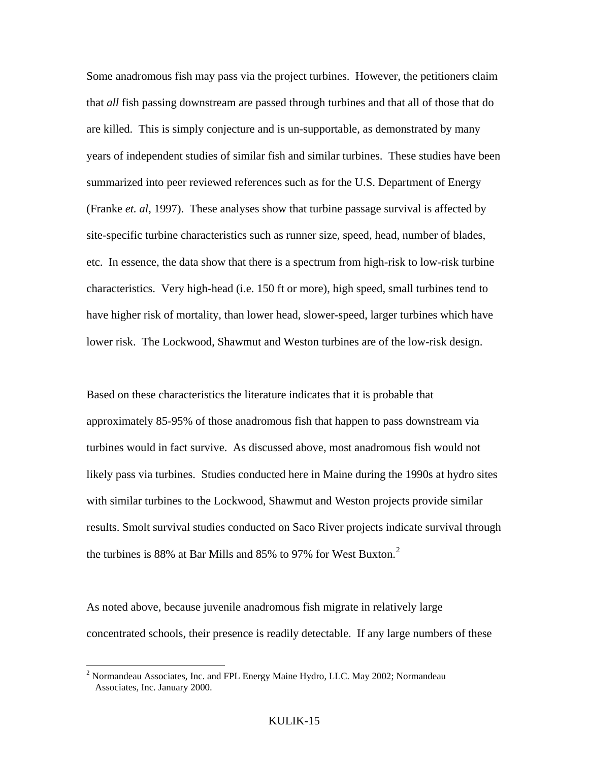Some anadromous fish may pass via the project turbines. However, the petitioners claim that *all* fish passing downstream are passed through turbines and that all of those that do are killed. This is simply conjecture and is un-supportable, as demonstrated by many years of independent studies of similar fish and similar turbines. These studies have been summarized into peer reviewed references such as for the U.S. Department of Energy (Franke *et. al*, 1997). These analyses show that turbine passage survival is affected by site-specific turbine characteristics such as runner size, speed, head, number of blades, etc. In essence, the data show that there is a spectrum from high-risk to low-risk turbine characteristics. Very high-head (i.e. 150 ft or more), high speed, small turbines tend to have higher risk of mortality, than lower head, slower-speed, larger turbines which have lower risk. The Lockwood, Shawmut and Weston turbines are of the low-risk design.

Based on these characteristics the literature indicates that it is probable that approximately 85-95% of those anadromous fish that happen to pass downstream via turbines would in fact survive. As discussed above, most anadromous fish would not likely pass via turbines. Studies conducted here in Maine during the 1990s at hydro sites with similar turbines to the Lockwood, Shawmut and Weston projects provide similar results. Smolt survival studies conducted on Saco River projects indicate survival through the turbines is 88% at Bar Mills and 85% to 97% for West Buxton.<sup>[2](#page-16-0)</sup>

As noted above, because juvenile anadromous fish migrate in relatively large concentrated schools, their presence is readily detectable. If any large numbers of these

 $\overline{a}$ 

<span id="page-16-0"></span><sup>&</sup>lt;sup>2</sup> Normandeau Associates, Inc. and FPL Energy Maine Hydro, LLC. May 2002; Normandeau Associates, Inc. January 2000.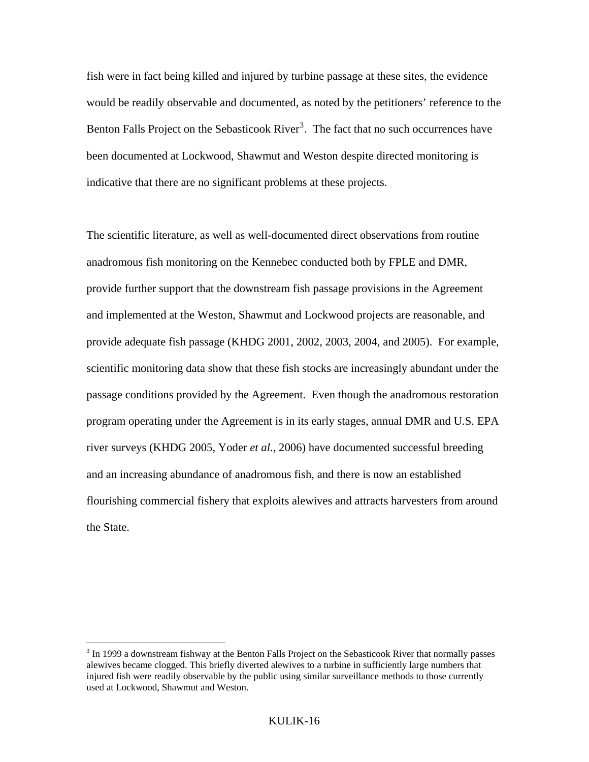fish were in fact being killed and injured by turbine passage at these sites, the evidence would be readily observable and documented, as noted by the petitioners' reference to the Benton Falls Project on the Sebasticook River<sup>[3](#page-17-0)</sup>. The fact that no such occurrences have been documented at Lockwood, Shawmut and Weston despite directed monitoring is indicative that there are no significant problems at these projects.

The scientific literature, as well as well-documented direct observations from routine anadromous fish monitoring on the Kennebec conducted both by FPLE and DMR, provide further support that the downstream fish passage provisions in the Agreement and implemented at the Weston, Shawmut and Lockwood projects are reasonable, and provide adequate fish passage (KHDG 2001, 2002, 2003, 2004, and 2005). For example, scientific monitoring data show that these fish stocks are increasingly abundant under the passage conditions provided by the Agreement. Even though the anadromous restoration program operating under the Agreement is in its early stages, annual DMR and U.S. EPA river surveys (KHDG 2005, Yoder *et al*., 2006) have documented successful breeding and an increasing abundance of anadromous fish, and there is now an established flourishing commercial fishery that exploits alewives and attracts harvesters from around the State.

 $\overline{a}$ 

<span id="page-17-0"></span> $3 \text{ In } 1999$  a downstream fishway at the Benton Falls Project on the Sebasticook River that normally passes alewives became clogged. This briefly diverted alewives to a turbine in sufficiently large numbers that injured fish were readily observable by the public using similar surveillance methods to those currently used at Lockwood, Shawmut and Weston.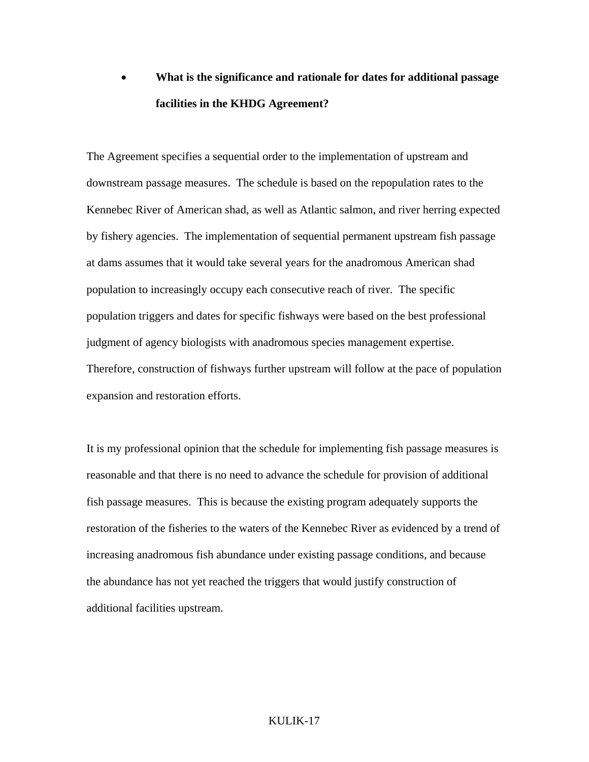# • **What is the significance and rationale for dates for additional passage facilities in the KHDG Agreement?**

The Agreement specifies a sequential order to the implementation of upstream and downstream passage measures. The schedule is based on the repopulation rates to the Kennebec River of American shad, as well as Atlantic salmon, and river herring expected by fishery agencies. The implementation of sequential permanent upstream fish passage at dams assumes that it would take several years for the anadromous American shad population to increasingly occupy each consecutive reach of river. The specific population triggers and dates for specific fishways were based on the best professional judgment of agency biologists with anadromous species management expertise. Therefore, construction of fishways further upstream will follow at the pace of population expansion and restoration efforts.

It is my professional opinion that the schedule for implementing fish passage measures is reasonable and that there is no need to advance the schedule for provision of additional fish passage measures. This is because the existing program adequately supports the restoration of the fisheries to the waters of the Kennebec River as evidenced by a trend of increasing anadromous fish abundance under existing passage conditions, and because the abundance has not yet reached the triggers that would justify construction of additional facilities upstream.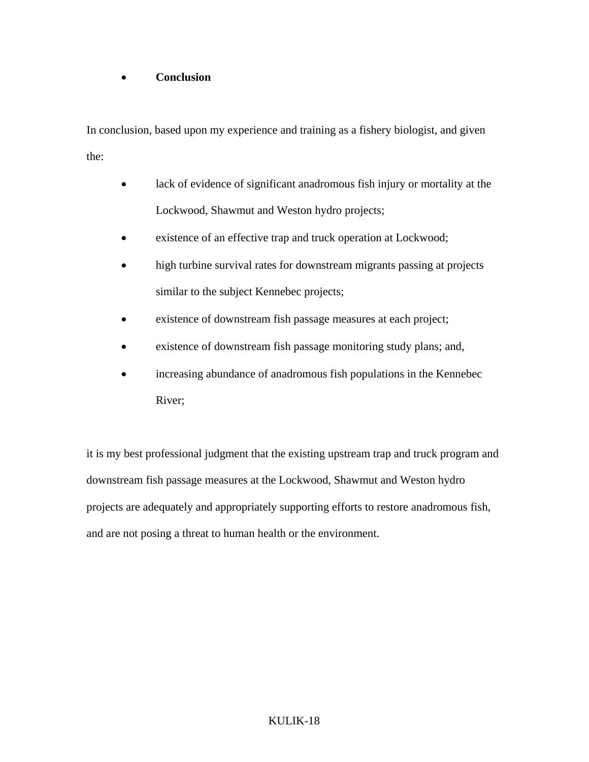# • **Conclusion**

In conclusion, based upon my experience and training as a fishery biologist, and given the:

- lack of evidence of significant anadromous fish injury or mortality at the Lockwood, Shawmut and Weston hydro projects;
- existence of an effective trap and truck operation at Lockwood;
- high turbine survival rates for downstream migrants passing at projects similar to the subject Kennebec projects;
- existence of downstream fish passage measures at each project;
- existence of downstream fish passage monitoring study plans; and,
- increasing abundance of anadromous fish populations in the Kennebec River;

it is my best professional judgment that the existing upstream trap and truck program and downstream fish passage measures at the Lockwood, Shawmut and Weston hydro projects are adequately and appropriately supporting efforts to restore anadromous fish, and are not posing a threat to human health or the environment.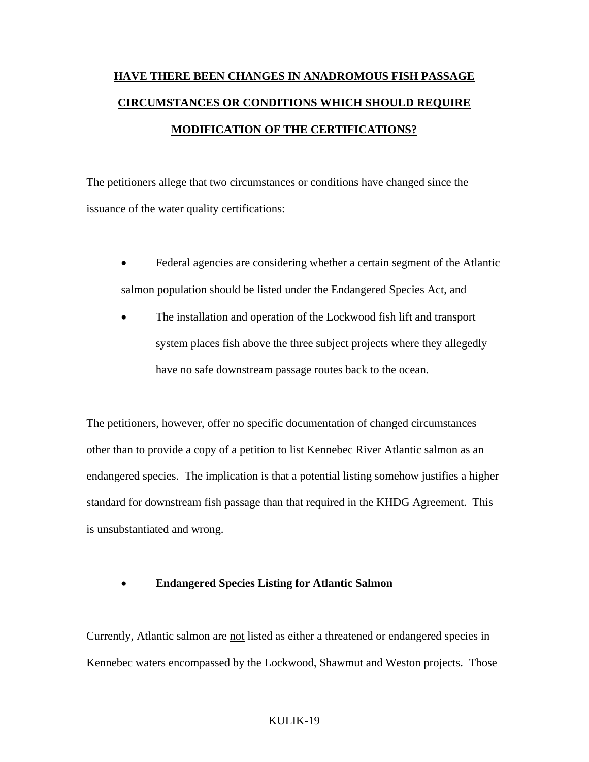# **HAVE THERE BEEN CHANGES IN ANADROMOUS FISH PASSAGE CIRCUMSTANCES OR CONDITIONS WHICH SHOULD REQUIRE MODIFICATION OF THE CERTIFICATIONS?**

The petitioners allege that two circumstances or conditions have changed since the issuance of the water quality certifications:

- Federal agencies are considering whether a certain segment of the Atlantic salmon population should be listed under the Endangered Species Act, and
- The installation and operation of the Lockwood fish lift and transport system places fish above the three subject projects where they allegedly have no safe downstream passage routes back to the ocean.

The petitioners, however, offer no specific documentation of changed circumstances other than to provide a copy of a petition to list Kennebec River Atlantic salmon as an endangered species. The implication is that a potential listing somehow justifies a higher standard for downstream fish passage than that required in the KHDG Agreement. This is unsubstantiated and wrong.

### • **Endangered Species Listing for Atlantic Salmon**

Currently, Atlantic salmon are not listed as either a threatened or endangered species in Kennebec waters encompassed by the Lockwood, Shawmut and Weston projects. Those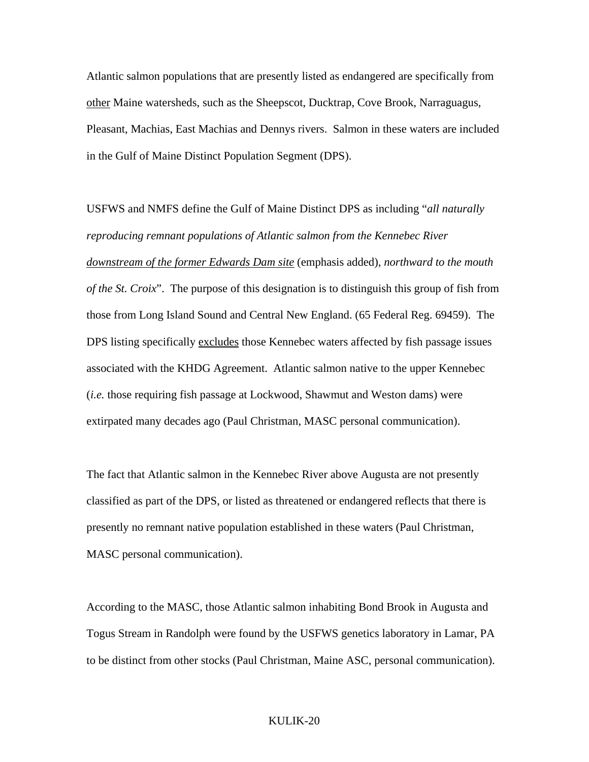Atlantic salmon populations that are presently listed as endangered are specifically from other Maine watersheds, such as the Sheepscot, Ducktrap, Cove Brook, Narraguagus, Pleasant, Machias, East Machias and Dennys rivers. Salmon in these waters are included in the Gulf of Maine Distinct Population Segment (DPS).

USFWS and NMFS define the Gulf of Maine Distinct DPS as including "*all naturally reproducing remnant populations of Atlantic salmon from the Kennebec River downstream of the former Edwards Dam site* (emphasis added), *northward to the mouth of the St. Croix*". The purpose of this designation is to distinguish this group of fish from those from Long Island Sound and Central New England. (65 Federal Reg. 69459). The DPS listing specifically excludes those Kennebec waters affected by fish passage issues associated with the KHDG Agreement. Atlantic salmon native to the upper Kennebec (*i.e.* those requiring fish passage at Lockwood, Shawmut and Weston dams) were extirpated many decades ago (Paul Christman, MASC personal communication).

The fact that Atlantic salmon in the Kennebec River above Augusta are not presently classified as part of the DPS, or listed as threatened or endangered reflects that there is presently no remnant native population established in these waters (Paul Christman, MASC personal communication).

According to the MASC, those Atlantic salmon inhabiting Bond Brook in Augusta and Togus Stream in Randolph were found by the USFWS genetics laboratory in Lamar, PA to be distinct from other stocks (Paul Christman, Maine ASC, personal communication).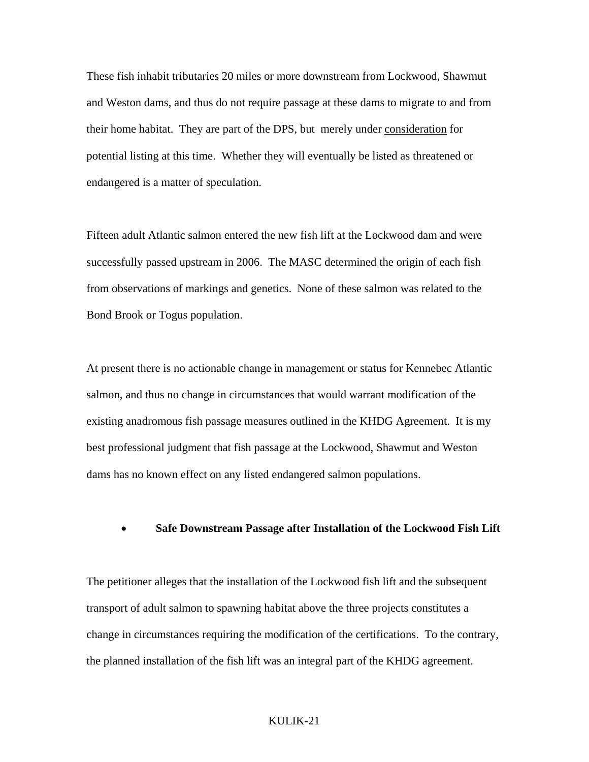These fish inhabit tributaries 20 miles or more downstream from Lockwood, Shawmut and Weston dams, and thus do not require passage at these dams to migrate to and from their home habitat. They are part of the DPS, but merely under consideration for potential listing at this time. Whether they will eventually be listed as threatened or endangered is a matter of speculation.

Fifteen adult Atlantic salmon entered the new fish lift at the Lockwood dam and were successfully passed upstream in 2006. The MASC determined the origin of each fish from observations of markings and genetics. None of these salmon was related to the Bond Brook or Togus population.

At present there is no actionable change in management or status for Kennebec Atlantic salmon, and thus no change in circumstances that would warrant modification of the existing anadromous fish passage measures outlined in the KHDG Agreement. It is my best professional judgment that fish passage at the Lockwood, Shawmut and Weston dams has no known effect on any listed endangered salmon populations.

#### • **Safe Downstream Passage after Installation of the Lockwood Fish Lift**

The petitioner alleges that the installation of the Lockwood fish lift and the subsequent transport of adult salmon to spawning habitat above the three projects constitutes a change in circumstances requiring the modification of the certifications. To the contrary, the planned installation of the fish lift was an integral part of the KHDG agreement.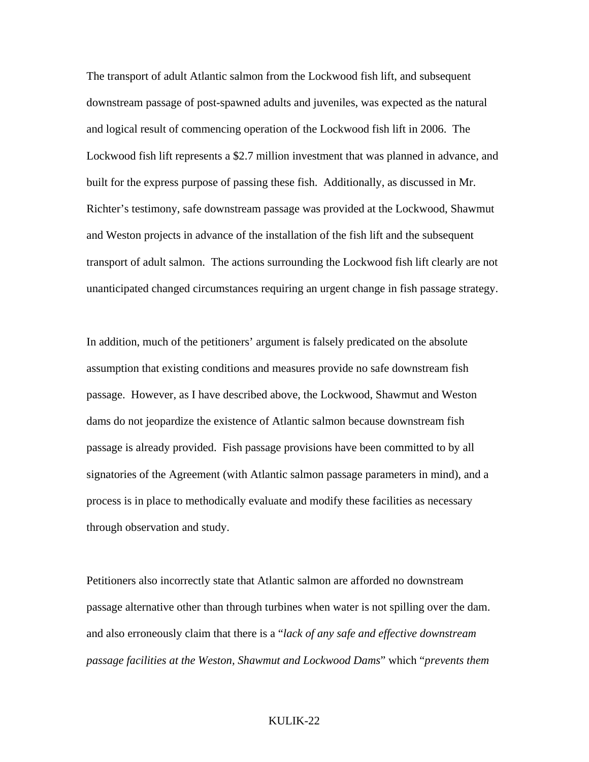The transport of adult Atlantic salmon from the Lockwood fish lift, and subsequent downstream passage of post-spawned adults and juveniles, was expected as the natural and logical result of commencing operation of the Lockwood fish lift in 2006. The Lockwood fish lift represents a \$2.7 million investment that was planned in advance, and built for the express purpose of passing these fish. Additionally, as discussed in Mr. Richter's testimony, safe downstream passage was provided at the Lockwood, Shawmut and Weston projects in advance of the installation of the fish lift and the subsequent transport of adult salmon. The actions surrounding the Lockwood fish lift clearly are not unanticipated changed circumstances requiring an urgent change in fish passage strategy.

In addition, much of the petitioners' argument is falsely predicated on the absolute assumption that existing conditions and measures provide no safe downstream fish passage. However, as I have described above, the Lockwood, Shawmut and Weston dams do not jeopardize the existence of Atlantic salmon because downstream fish passage is already provided. Fish passage provisions have been committed to by all signatories of the Agreement (with Atlantic salmon passage parameters in mind), and a process is in place to methodically evaluate and modify these facilities as necessary through observation and study.

Petitioners also incorrectly state that Atlantic salmon are afforded no downstream passage alternative other than through turbines when water is not spilling over the dam. and also erroneously claim that there is a "*lack of any safe and effective downstream passage facilities at the Weston, Shawmut and Lockwood Dams*" which "*prevents them*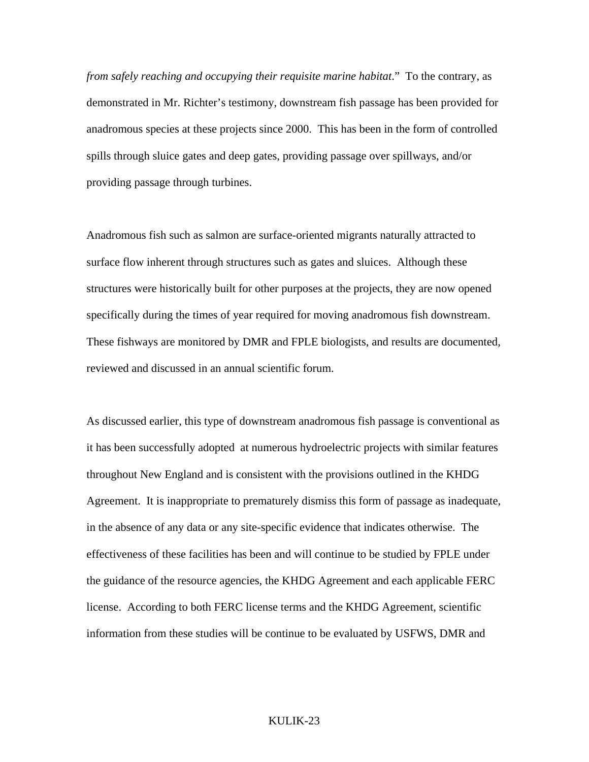*from safely reaching and occupying their requisite marine habitat*." To the contrary, as demonstrated in Mr. Richter's testimony, downstream fish passage has been provided for anadromous species at these projects since 2000. This has been in the form of controlled spills through sluice gates and deep gates, providing passage over spillways, and/or providing passage through turbines.

Anadromous fish such as salmon are surface-oriented migrants naturally attracted to surface flow inherent through structures such as gates and sluices. Although these structures were historically built for other purposes at the projects, they are now opened specifically during the times of year required for moving anadromous fish downstream. These fishways are monitored by DMR and FPLE biologists, and results are documented, reviewed and discussed in an annual scientific forum.

As discussed earlier, this type of downstream anadromous fish passage is conventional as it has been successfully adopted at numerous hydroelectric projects with similar features throughout New England and is consistent with the provisions outlined in the KHDG Agreement. It is inappropriate to prematurely dismiss this form of passage as inadequate, in the absence of any data or any site-specific evidence that indicates otherwise. The effectiveness of these facilities has been and will continue to be studied by FPLE under the guidance of the resource agencies, the KHDG Agreement and each applicable FERC license. According to both FERC license terms and the KHDG Agreement, scientific information from these studies will be continue to be evaluated by USFWS, DMR and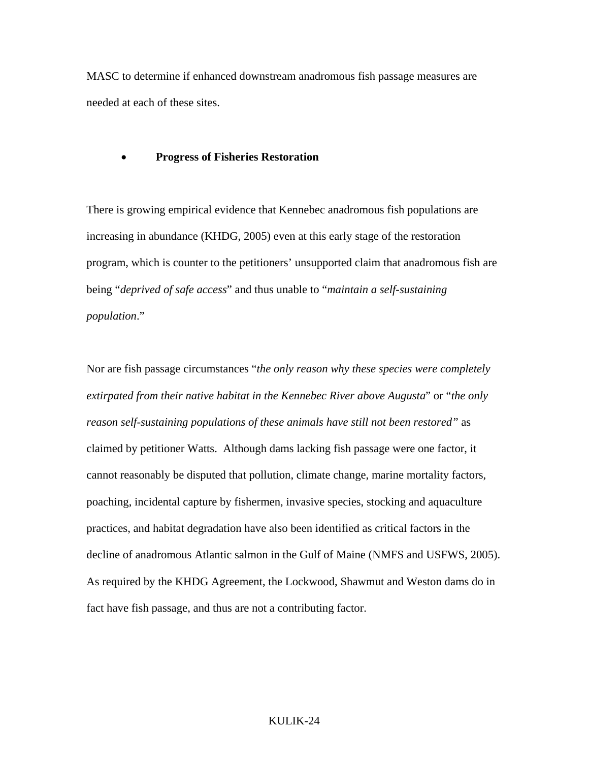MASC to determine if enhanced downstream anadromous fish passage measures are needed at each of these sites.

#### • **Progress of Fisheries Restoration**

There is growing empirical evidence that Kennebec anadromous fish populations are increasing in abundance (KHDG, 2005) even at this early stage of the restoration program, which is counter to the petitioners' unsupported claim that anadromous fish are being "*deprived of safe access*" and thus unable to "*maintain a self-sustaining population*."

Nor are fish passage circumstances "*the only reason why these species were completely extirpated from their native habitat in the Kennebec River above Augusta*" or "*the only reason self-sustaining populations of these animals have still not been restored"* as claimed by petitioner Watts. Although dams lacking fish passage were one factor, it cannot reasonably be disputed that pollution, climate change, marine mortality factors, poaching, incidental capture by fishermen, invasive species, stocking and aquaculture practices, and habitat degradation have also been identified as critical factors in the decline of anadromous Atlantic salmon in the Gulf of Maine (NMFS and USFWS, 2005). As required by the KHDG Agreement, the Lockwood, Shawmut and Weston dams do in fact have fish passage, and thus are not a contributing factor.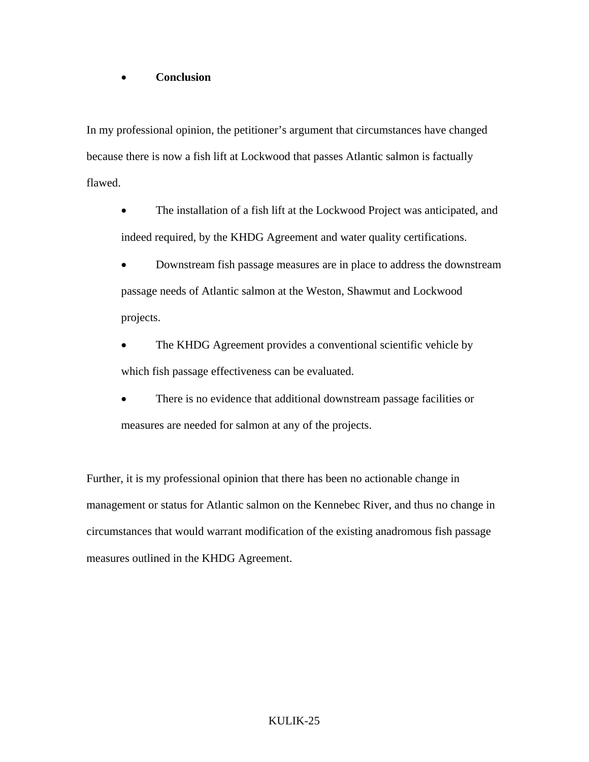# • **Conclusion**

In my professional opinion, the petitioner's argument that circumstances have changed because there is now a fish lift at Lockwood that passes Atlantic salmon is factually flawed.

- The installation of a fish lift at the Lockwood Project was anticipated, and indeed required, by the KHDG Agreement and water quality certifications.
- Downstream fish passage measures are in place to address the downstream passage needs of Atlantic salmon at the Weston, Shawmut and Lockwood projects.
- The KHDG Agreement provides a conventional scientific vehicle by which fish passage effectiveness can be evaluated.
- There is no evidence that additional downstream passage facilities or measures are needed for salmon at any of the projects.

Further, it is my professional opinion that there has been no actionable change in management or status for Atlantic salmon on the Kennebec River, and thus no change in circumstances that would warrant modification of the existing anadromous fish passage measures outlined in the KHDG Agreement.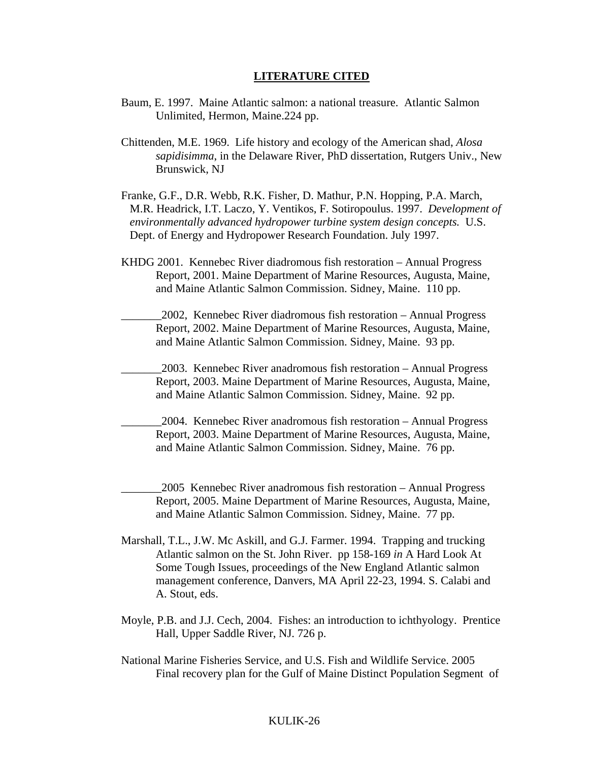#### **LITERATURE CITED**

- Baum, E. 1997. Maine Atlantic salmon: a national treasure. Atlantic Salmon Unlimited, Hermon, Maine.224 pp.
- Chittenden, M.E. 1969. Life history and ecology of the American shad, *Alosa sapidisimma*, in the Delaware River, PhD dissertation, Rutgers Univ., New Brunswick, NJ
- Franke, G.F., D.R. Webb, R.K. Fisher, D. Mathur, P.N. Hopping, P.A. March, M.R. Headrick, I.T. Laczo, Y. Ventikos, F. Sotiropoulus. 1997. *Development of environmentally advanced hydropower turbine system design concepts.* U.S. Dept. of Energy and Hydropower Research Foundation. July 1997.
- KHDG 2001. Kennebec River diadromous fish restoration Annual Progress Report, 2001. Maine Department of Marine Resources, Augusta, Maine, and Maine Atlantic Salmon Commission. Sidney, Maine. 110 pp.
- \_\_\_\_\_\_\_2002, Kennebec River diadromous fish restoration Annual Progress Report, 2002. Maine Department of Marine Resources, Augusta, Maine, and Maine Atlantic Salmon Commission. Sidney, Maine. 93 pp.
- \_\_\_\_\_\_\_2003. Kennebec River anadromous fish restoration Annual Progress Report, 2003. Maine Department of Marine Resources, Augusta, Maine, and Maine Atlantic Salmon Commission. Sidney, Maine. 92 pp.
- \_\_\_\_\_\_\_2004. Kennebec River anadromous fish restoration Annual Progress Report, 2003. Maine Department of Marine Resources, Augusta, Maine, and Maine Atlantic Salmon Commission. Sidney, Maine. 76 pp.
	- \_\_\_\_\_\_\_2005 Kennebec River anadromous fish restoration Annual Progress Report, 2005. Maine Department of Marine Resources, Augusta, Maine, and Maine Atlantic Salmon Commission. Sidney, Maine. 77 pp.
- Marshall, T.L., J.W. Mc Askill, and G.J. Farmer. 1994. Trapping and trucking Atlantic salmon on the St. John River. pp 158-169 *in* A Hard Look At Some Tough Issues, proceedings of the New England Atlantic salmon management conference, Danvers, MA April 22-23, 1994. S. Calabi and A. Stout, eds.
- Moyle, P.B. and J.J. Cech, 2004. Fishes: an introduction to ichthyology. Prentice Hall, Upper Saddle River, NJ. 726 p.
- National Marine Fisheries Service, and U.S. Fish and Wildlife Service. 2005 Final recovery plan for the Gulf of Maine Distinct Population Segment of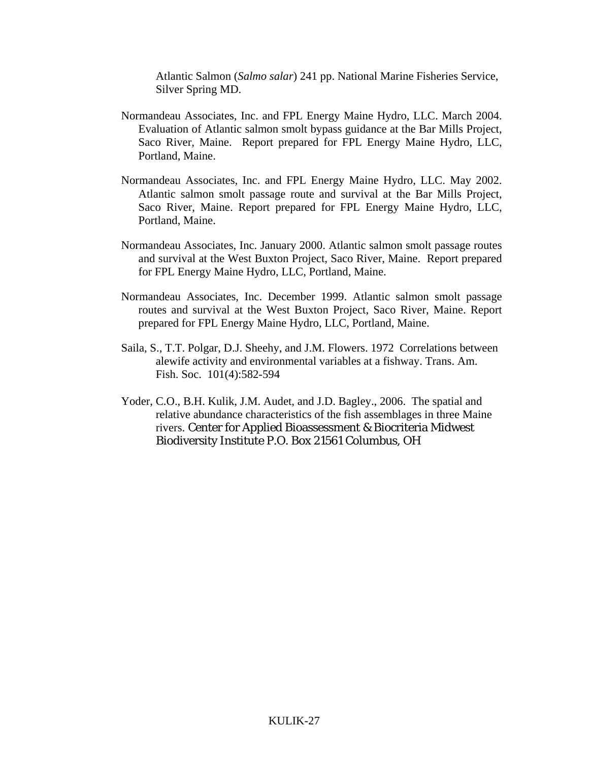Atlantic Salmon (*Salmo salar*) 241 pp. National Marine Fisheries Service, Silver Spring MD.

- Normandeau Associates, Inc. and FPL Energy Maine Hydro, LLC. March 2004. Evaluation of Atlantic salmon smolt bypass guidance at the Bar Mills Project, Saco River, Maine. Report prepared for FPL Energy Maine Hydro, LLC, Portland, Maine.
- Normandeau Associates, Inc. and FPL Energy Maine Hydro, LLC. May 2002. Atlantic salmon smolt passage route and survival at the Bar Mills Project, Saco River, Maine. Report prepared for FPL Energy Maine Hydro, LLC, Portland, Maine.
- Normandeau Associates, Inc. January 2000. Atlantic salmon smolt passage routes and survival at the West Buxton Project, Saco River, Maine. Report prepared for FPL Energy Maine Hydro, LLC, Portland, Maine.
- Normandeau Associates, Inc. December 1999. Atlantic salmon smolt passage routes and survival at the West Buxton Project, Saco River, Maine. Report prepared for FPL Energy Maine Hydro, LLC, Portland, Maine.
- Saila, S., T.T. Polgar, D.J. Sheehy, and J.M. Flowers. 1972 Correlations between alewife activity and environmental variables at a fishway. Trans. Am. Fish. Soc. 101(4):582-594
- Yoder, C.O., B.H. Kulik, J.M. Audet, and J.D. Bagley., 2006. The spatial and relative abundance characteristics of the fish assemblages in three Maine rivers. Center for Applied Bioassessment & Biocriteria Midwest Biodiversity Institute P.O. Box 21561 Columbus, OH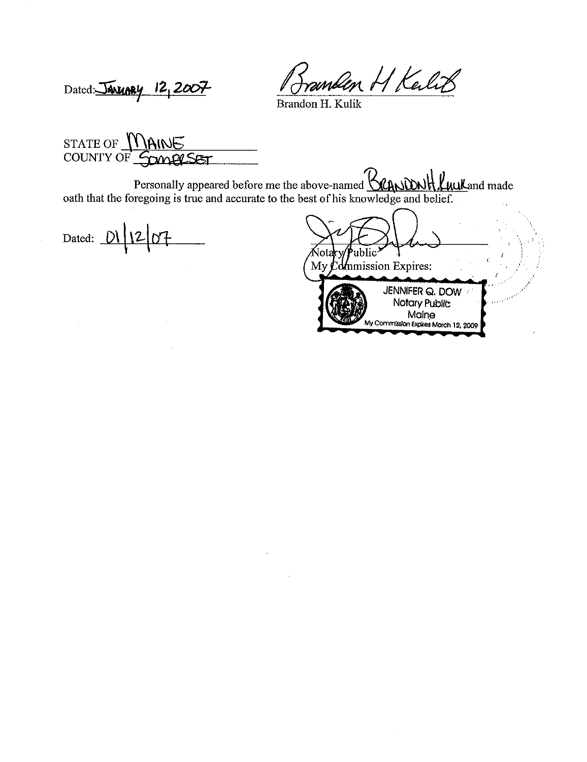anden H Kalit

Dated: JANUARY 12, 2007

Brandon H. Kulik

STATE OF MAINE COUNTY OF SOMERSET

Personally appeared before me the above-named **KANDNH LuuL**and made oath that the foregoing is true and accurate to the best of his knowledge and belief.

Dated:  $D\left\{12\right\}07$ 

Votal 'ublic My  $\mathcal{L}$  dmmission Expires: JENNIFER Q. DOW Notary Public Maine My Commission Expires March 12, 2009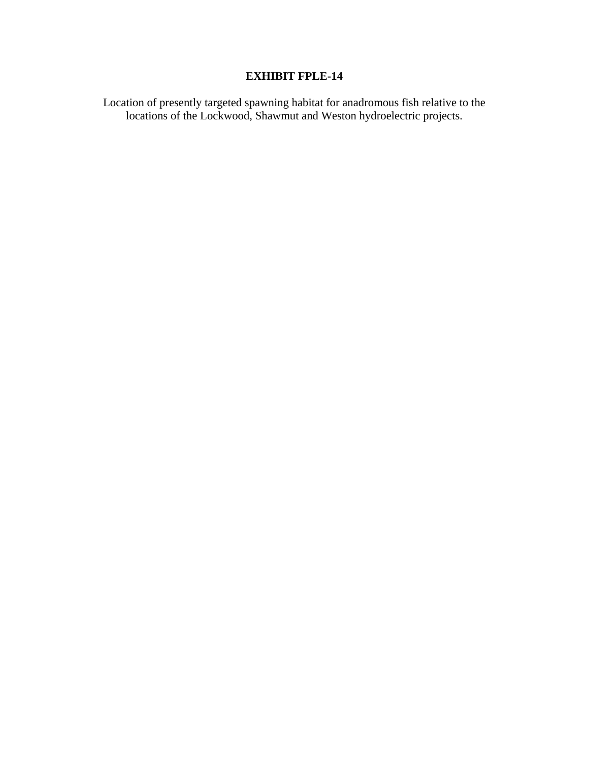# **EXHIBIT FPLE-14**

Location of presently targeted spawning habitat for anadromous fish relative to the locations of the Lockwood, Shawmut and Weston hydroelectric projects.